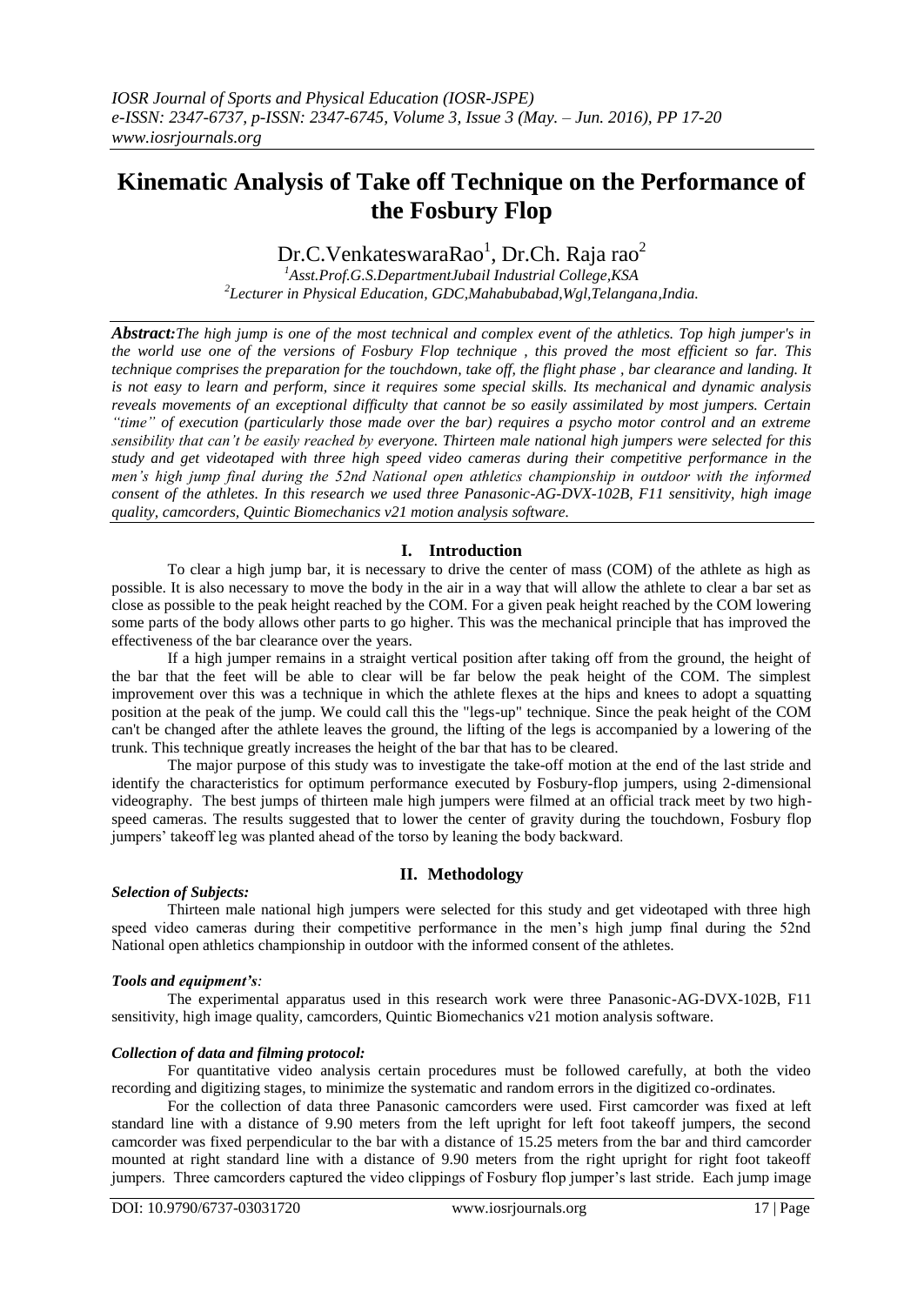# **Kinematic Analysis of Take off Technique on the Performance of the Fosbury Flop**

Dr.C.VenkateswaraRao<sup>1</sup>, Dr.Ch. Raja rao<sup>2</sup>

*<sup>1</sup>Asst.Prof.G.S.DepartmentJubail Industrial College,KSA 2 Lecturer in Physical Education, GDC,Mahabubabad,Wgl,Telangana,India.*

*Abstract:The high jump is one of the most technical and complex event of the athletics. Top high jumper's in the world use one of the versions of Fosbury Flop technique , this proved the most efficient so far. This technique comprises the preparation for the touchdown, take off, the flight phase , bar clearance and landing. It is not easy to learn and perform, since it requires some special skills. Its mechanical and dynamic analysis reveals movements of an exceptional difficulty that cannot be so easily assimilated by most jumpers. Certain "time" of execution (particularly those made over the bar) requires a psycho motor control and an extreme sensibility that can't be easily reached by everyone. Thirteen male national high jumpers were selected for this study and get videotaped with three high speed video cameras during their competitive performance in the men's high jump final during the 52nd National open athletics championship in outdoor with the informed consent of the athletes. In this research we used three Panasonic-AG-DVX-102B, F11 sensitivity, high image quality, camcorders, Quintic Biomechanics v21 motion analysis software.*

# **I. Introduction**

To clear a high jump bar, it is necessary to drive the center of mass (COM) of the athlete as high as possible. It is also necessary to move the body in the air in a way that will allow the athlete to clear a bar set as close as possible to the peak height reached by the COM. For a given peak height reached by the COM lowering some parts of the body allows other parts to go higher. This was the mechanical principle that has improved the effectiveness of the bar clearance over the years.

If a high jumper remains in a straight vertical position after taking off from the ground, the height of the bar that the feet will be able to clear will be far below the peak height of the COM. The simplest improvement over this was a technique in which the athlete flexes at the hips and knees to adopt a squatting position at the peak of the jump. We could call this the "legs-up" technique. Since the peak height of the COM can't be changed after the athlete leaves the ground, the lifting of the legs is accompanied by a lowering of the trunk. This technique greatly increases the height of the bar that has to be cleared.

The major purpose of this study was to investigate the take-off motion at the end of the last stride and identify the characteristics for optimum performance executed by Fosbury-flop jumpers, using 2-dimensional videography. The best jumps of thirteen male high jumpers were filmed at an official track meet by two highspeed cameras. The results suggested that to lower the center of gravity during the touchdown, Fosbury flop jumpers' takeoff leg was planted ahead of the torso by leaning the body backward.

# **II. Methodology**

# *Selection of Subjects:*

Thirteen male national high jumpers were selected for this study and get videotaped with three high speed video cameras during their competitive performance in the men's high jump final during the 52nd National open athletics championship in outdoor with the informed consent of the athletes.

# *Tools and equipment's:*

The experimental apparatus used in this research work were three Panasonic-AG-DVX-102B, F11 sensitivity, high image quality, camcorders, Quintic Biomechanics v21 motion analysis software.

## *Collection of data and filming protocol:*

For quantitative video analysis certain procedures must be followed carefully, at both the video recording and digitizing stages, to minimize the systematic and random errors in the digitized co-ordinates.

For the collection of data three Panasonic camcorders were used. First camcorder was fixed at left standard line with a distance of 9.90 meters from the left upright for left foot takeoff jumpers, the second camcorder was fixed perpendicular to the bar with a distance of 15.25 meters from the bar and third camcorder mounted at right standard line with a distance of 9.90 meters from the right upright for right foot takeoff jumpers. Three camcorders captured the video clippings of Fosbury flop jumper's last stride. Each jump image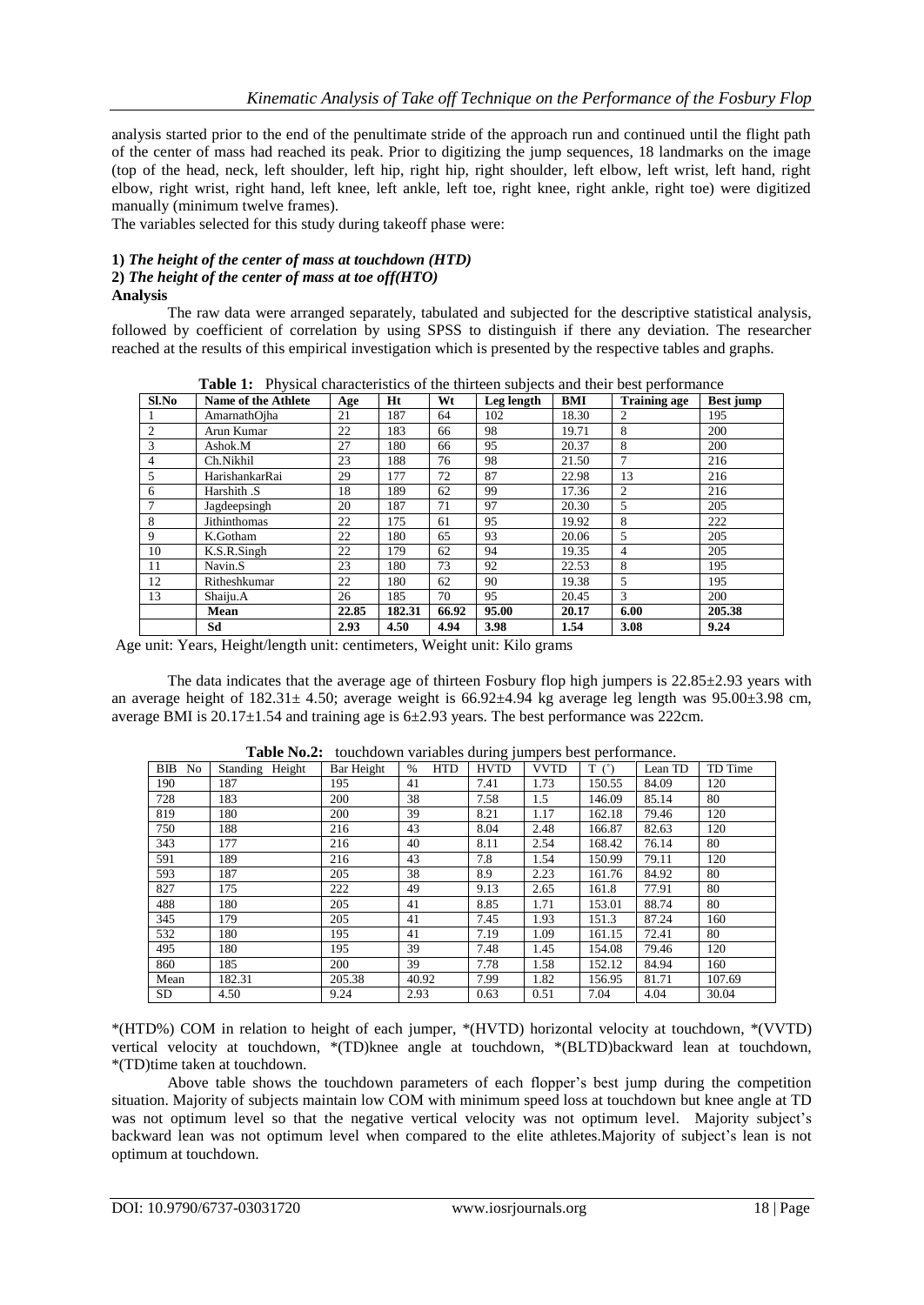analysis started prior to the end of the penultimate stride of the approach run and continued until the flight path of the center of mass had reached its peak. Prior to digitizing the jump sequences, 18 landmarks on the image (top of the head, neck, left shoulder, left hip, right hip, right shoulder, left elbow, left wrist, left hand, right elbow, right wrist, right hand, left knee, left ankle, left toe, right knee, right ankle, right toe) were digitized manually (minimum twelve frames).

The variables selected for this study during takeoff phase were:

#### **1)** *The height of the center of mass at touchdown (HTD)* **2)** *The height of the center of mass at toe off(HTO)*

## **Analysis**

The raw data were arranged separately, tabulated and subjected for the descriptive statistical analysis, followed by coefficient of correlation by using SPSS to distinguish if there any deviation. The researcher reached at the results of this empirical investigation which is presented by the respective tables and graphs.

| Sl.No          | Name of the Athlete | Age   | Ht     | Wt    | Leg length | BMI   | <b>Training age</b> | Best jump |
|----------------|---------------------|-------|--------|-------|------------|-------|---------------------|-----------|
|                | AmarnathOiha        | 21    | 187    | 64    | 102        | 18.30 | $\overline{c}$      | 195       |
| 2              | Arun Kumar          | 22    | 183    | 66    | 98         | 19.71 | 8                   | 200       |
| 3              | Ashok.M             | 27    | 180    | 66    | 95         | 20.37 | 8                   | 200       |
| $\overline{4}$ | Ch.Nikhil           | 23    | 188    | 76    | 98         | 21.50 | 7                   | 216       |
|                | HarishankarRai      | 29    | 177    | 72    | 87         | 22.98 | 13                  | 216       |
| 6              | Harshith .S         | 18    | 189    | 62    | 99         | 17.36 | 2                   | 216       |
| $\mathcal{I}$  | Jagdeepsingh        | 20    | 187    | 71    | 97         | 20.30 | 5                   | 205       |
| 8              | Jithinthomas        | 22    | 175    | 61    | 95         | 19.92 | 8                   | 222       |
| 9              | K.Gotham            | 22    | 180    | 65    | 93         | 20.06 | 5                   | 205       |
| 10             | K.S.R.Singh         | 22    | 179    | 62    | 94         | 19.35 | 4                   | 205       |
| 11             | Navin <sub>.S</sub> | 23    | 180    | 73    | 92         | 22.53 | 8                   | 195       |
| 12             | Ritheshkumar        | 22    | 180    | 62    | 90         | 19.38 | 5                   | 195       |
| 13             | Shaiju.A            | 26    | 185    | 70    | 95         | 20.45 | 3                   | 200       |
|                | Mean                | 22.85 | 182.31 | 66.92 | 95.00      | 20.17 | 6.00                | 205.38    |
|                | Sd                  | 2.93  | 4.50   | 4.94  | 3.98       | 1.54  | 3.08                | 9.24      |

**Table 1:** Physical characteristics of the thirteen subjects and their best performance

Age unit: Years, Height/length unit: centimeters, Weight unit: Kilo grams

The data indicates that the average age of thirteen Fosbury flop high jumpers is  $22.85\pm2.93$  years with an average height of  $182.31 \pm 4.50$ ; average weight is  $66.92 \pm 4.94$  kg average leg length was  $95.00 \pm 3.98$  cm, average BMI is 20.17±1.54 and training age is 6±2.93 years. The best performance was 222cm.

| BIB<br>N <sub>o</sub> | Standing Height | Bar Height | <b>HTD</b><br>$\%$ | <b>HVTD</b> | <b>VVTD</b> | $T(\degree)$ | Lean TD | TD Time |
|-----------------------|-----------------|------------|--------------------|-------------|-------------|--------------|---------|---------|
| 190                   | 187             | 195        | 41                 | 7.41        | 1.73        | 150.55       | 84.09   | 120     |
| 728                   | 183             | 200        | 38                 | 7.58        | 1.5         | 146.09       | 85.14   | 80      |
| 819                   | 180             | 200        | 39                 | 8.21        | 1.17        | 162.18       | 79.46   | 120     |
| 750                   | 188             | 216        | 43                 | 8.04        | 2.48        | 166.87       | 82.63   | 120     |
| 343                   | 177             | 216        | 40                 | 8.11        | 2.54        | 168.42       | 76.14   | 80      |
| 591                   | 189             | 216        | 43                 | 7.8         | 1.54        | 150.99       | 79.11   | 120     |
| 593                   | 187             | 205        | 38                 | 8.9         | 2.23        | 161.76       | 84.92   | 80      |
| 827                   | 175             | 222        | 49                 | 9.13        | 2.65        | 161.8        | 77.91   | 80      |
| 488                   | 180             | 205        | 41                 | 8.85        | 1.71        | 153.01       | 88.74   | 80      |
| 345                   | 179             | 205        | 41                 | 7.45        | 1.93        | 151.3        | 87.24   | 160     |
| 532                   | 180             | 195        | 41                 | 7.19        | 1.09        | 161.15       | 72.41   | 80      |
| 495                   | 180             | 195        | 39                 | 7.48        | 1.45        | 154.08       | 79.46   | 120     |
| 860                   | 185             | 200        | 39                 | 7.78        | 1.58        | 152.12       | 84.94   | 160     |
| Mean                  | 182.31          | 205.38     | 40.92              | 7.99        | 1.82        | 156.95       | 81.71   | 107.69  |
| <b>SD</b>             | 4.50            | 9.24       | 2.93               | 0.63        | 0.51        | 7.04         | 4.04    | 30.04   |

**Table No.2:** touchdown variables during jumpers best performance.

\*(HTD%) COM in relation to height of each jumper, \*(HVTD) horizontal velocity at touchdown, \*(VVTD) vertical velocity at touchdown, \*(TD)knee angle at touchdown, \*(BLTD)backward lean at touchdown, \*(TD)time taken at touchdown.

Above table shows the touchdown parameters of each flopper's best jump during the competition situation. Majority of subjects maintain low COM with minimum speed loss at touchdown but knee angle at TD was not optimum level so that the negative vertical velocity was not optimum level. Majority subject's backward lean was not optimum level when compared to the elite athletes.Majority of subject's lean is not optimum at touchdown.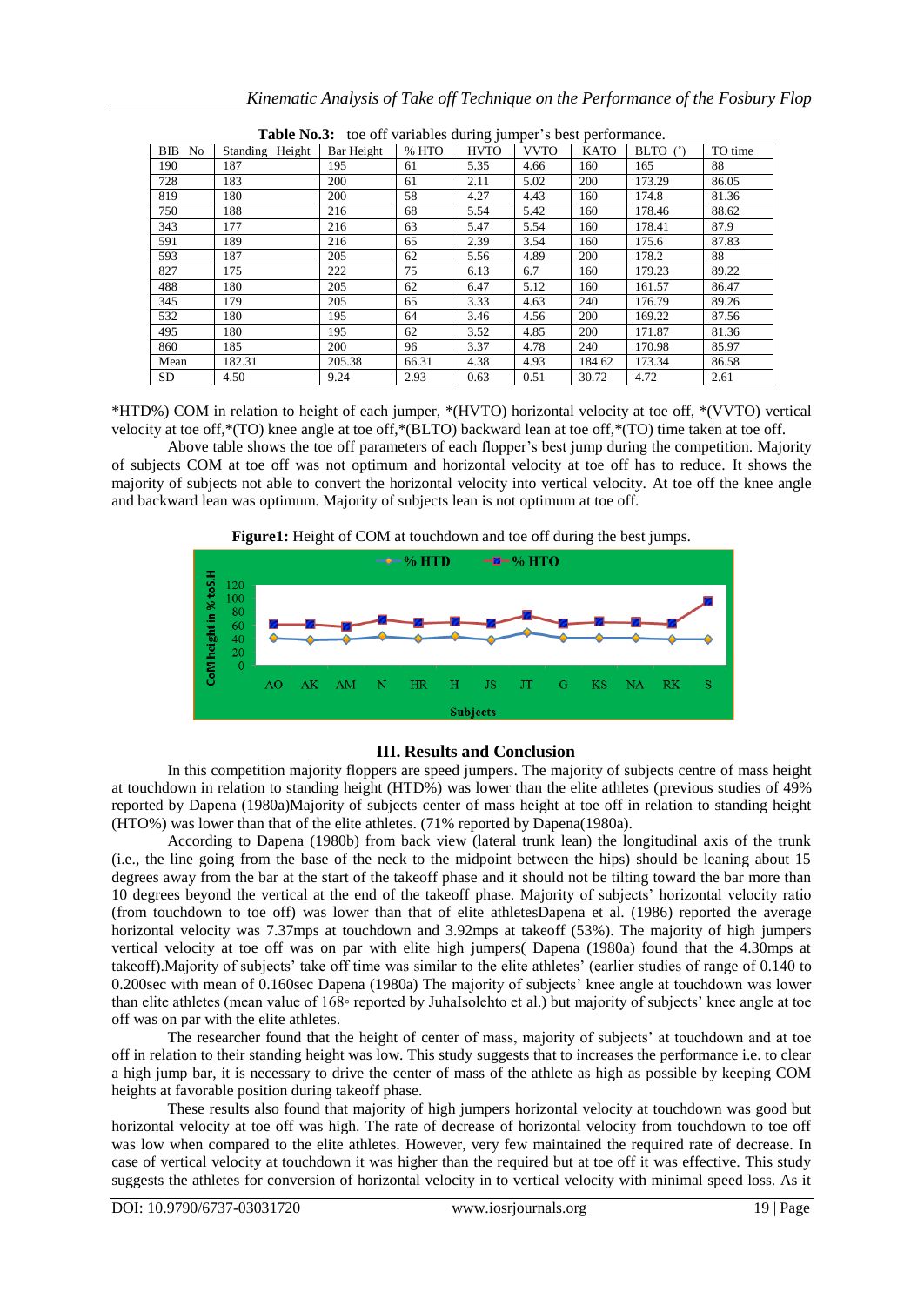| <b>Table No.3:</b> toe on variables during fumper s best performance. |                 |            |       |             |             |             |            |         |
|-----------------------------------------------------------------------|-----------------|------------|-------|-------------|-------------|-------------|------------|---------|
| <b>BIB</b><br>No.                                                     | Standing Height | Bar Height | % HTO | <b>HVTO</b> | <b>VVTO</b> | <b>KATO</b> | BLTO $(°)$ | TO time |
| 190                                                                   | 187             | 195        | 61    | 5.35        | 4.66        | 160         | 165        | 88      |
| 728                                                                   | 183             | 200        | 61    | 2.11        | 5.02        | 200         | 173.29     | 86.05   |
| 819                                                                   | 180             | 200        | 58    | 4.27        | 4.43        | 160         | 174.8      | 81.36   |
| 750                                                                   | 188             | 216        | 68    | 5.54        | 5.42        | 160         | 178.46     | 88.62   |
| 343                                                                   | 177             | 216        | 63    | 5.47        | 5.54        | 160         | 178.41     | 87.9    |
| 591                                                                   | 189             | 216        | 65    | 2.39        | 3.54        | 160         | 175.6      | 87.83   |
| 593                                                                   | 187             | 205        | 62    | 5.56        | 4.89        | 200         | 178.2      | 88      |
| 827                                                                   | 175             | 222        | 75    | 6.13        | 6.7         | 160         | 179.23     | 89.22   |
| 488                                                                   | 180             | 205        | 62    | 6.47        | 5.12        | 160         | 161.57     | 86.47   |
| 345                                                                   | 179             | 205        | 65    | 3.33        | 4.63        | 240         | 176.79     | 89.26   |
| 532                                                                   | 180             | 195        | 64    | 3.46        | 4.56        | 200         | 169.22     | 87.56   |
| 495                                                                   | 180             | 195        | 62    | 3.52        | 4.85        | 200         | 171.87     | 81.36   |
| 860                                                                   | 185             | 200        | 96    | 3.37        | 4.78        | 240         | 170.98     | 85.97   |
| Mean                                                                  | 182.31          | 205.38     | 66.31 | 4.38        | 4.93        | 184.62      | 173.34     | 86.58   |
| SD.                                                                   | 4.50            | 9.24       | 2.93  | 0.63        | 0.51        | 30.72       | 4.72       | 2.61    |

| Table No.3: toe off variables during jumper's best performance. |  |
|-----------------------------------------------------------------|--|
|-----------------------------------------------------------------|--|

\*HTD%) COM in relation to height of each jumper, \*(HVTO) horizontal velocity at toe off, \*(VVTO) vertical velocity at toe off,\*(TO) knee angle at toe off,\*(BLTO) backward lean at toe off,\*(TO) time taken at toe off.

Above table shows the toe off parameters of each flopper's best jump during the competition. Majority of subjects COM at toe off was not optimum and horizontal velocity at toe off has to reduce. It shows the majority of subjects not able to convert the horizontal velocity into vertical velocity. At toe off the knee angle and backward lean was optimum. Majority of subjects lean is not optimum at toe off.







### **III. Results and Conclusion**

In this competition majority floppers are speed jumpers. The majority of subjects centre of mass height at touchdown in relation to standing height (HTD%) was lower than the elite athletes (previous studies of 49% reported by Dapena (1980a)Majority of subjects center of mass height at toe off in relation to standing height (HTO%) was lower than that of the elite athletes. (71% reported by Dapena(1980a).

According to Dapena (1980b) from back view (lateral trunk lean) the longitudinal axis of the trunk (i.e., the line going from the base of the neck to the midpoint between the hips) should be leaning about 15 degrees away from the bar at the start of the takeoff phase and it should not be tilting toward the bar more than 10 degrees beyond the vertical at the end of the takeoff phase. Majority of subjects' horizontal velocity ratio (from touchdown to toe off) was lower than that of elite athletesDapena et al. (1986) reported the average horizontal velocity was 7.37mps at touchdown and 3.92mps at takeoff (53%). The majority of high jumpers vertical velocity at toe off was on par with elite high jumpers( Dapena (1980a) found that the 4.30mps at takeoff).Majority of subjects' take off time was similar to the elite athletes' (earlier studies of range of 0.140 to 0.200sec with mean of 0.160sec Dapena (1980a) The majority of subjects' knee angle at touchdown was lower than elite athletes (mean value of 168◦ reported by JuhaIsolehto et al.) but majority of subjects' knee angle at toe off was on par with the elite athletes.

The researcher found that the height of center of mass, majority of subjects' at touchdown and at toe off in relation to their standing height was low. This study suggests that to increases the performance i.e. to clear a high jump bar, it is necessary to drive the center of mass of the athlete as high as possible by keeping COM heights at favorable position during takeoff phase.

These results also found that majority of high jumpers horizontal velocity at touchdown was good but horizontal velocity at toe off was high. The rate of decrease of horizontal velocity from touchdown to toe off was low when compared to the elite athletes. However, very few maintained the required rate of decrease. In case of vertical velocity at touchdown it was higher than the required but at toe off it was effective. This study suggests the athletes for conversion of horizontal velocity in to vertical velocity with minimal speed loss. As it